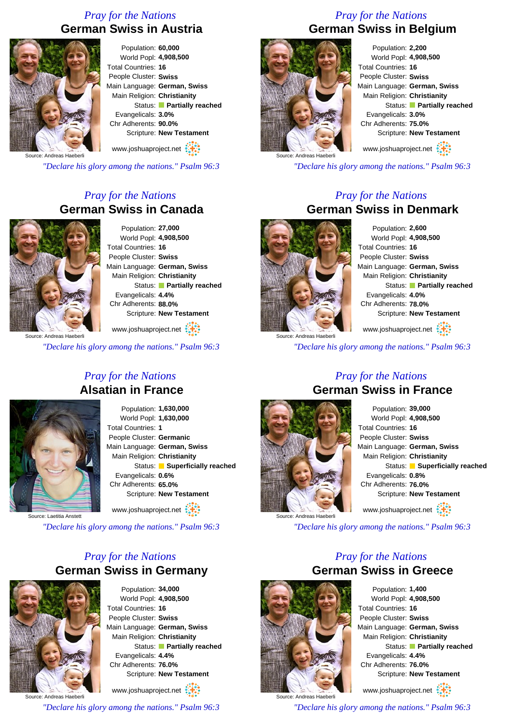# *Pray for the Nations* **German Swiss in Austria**



Population: **60,000** World Popl: **4,908,500** Total Countries: **16** People Cluster: **Swiss** Main Language: **German, Swiss** Main Religion: **Christianity** Status: **Partially reached** Evangelicals: **3.0%** Chr Adherents: **90.0%** Scripture: **New Testament**

www.joshuaproject.net

Source: Andreas Haeberli

*"Declare his glory among the nations." Psalm 96:3*

# *Pray for the Nations* **German Swiss in Canada**



Population: **27,000** World Popl: **4,908,500** Total Countries: **16** People Cluster: **Swiss** Main Language: **German, Swiss** Main Religion: **Christianity** Status: **Partially reached** Evangelicals: **4.4%** Chr Adherents: **88.0%** Scripture: **New Testament**

www.joshuaproject.net

*"Declare his glory among the nations." Psalm 96:3*

### *Pray for the Nations* **Alsatian in France**



Population: **1,630,000** World Popl: **1,630,000** Total Countries: **1** People Cluster: **Germanic** Main Language: **German, Swiss** Main Religion: **Christianity** Status: **Superficially reached** Evangelicals: **0.6%** Chr Adherents: **65.0%** Scripture: **New Testament** www.joshuaproject.net

Source: Laetitia Anstett

*"Declare his glory among the nations." Psalm 96:3*

# *Pray for the Nations* **German Swiss in Germany**



Population: **34,000** World Popl: **4,908,500** Total Countries: **16** People Cluster: **Swiss** Main Language: **German, Swiss** Main Religion: **Christianity** Status: **Partially reached** Evangelicals: **4.4%** Chr Adherents: **76.0%** Scripture: **New Testament**

www.joshuaproject.net

*"Declare his glory among the nations." Psalm 96:3*

# *Pray for the Nations* **German Swiss in Belgium**



Population: **2,200** World Popl: **4,908,500** Total Countries: **16** People Cluster: **Swiss** Main Language: **German, Swiss** Main Religion: **Christianity** Status: **Partially reached** Evangelicals: **3.0%** Chr Adherents: **75.0%** Scripture: **New Testament** www.joshuaproject.net

*"Declare his glory among the nations." Psalm 96:3*

### *Pray for the Nations* **German Swiss in Denmark**



Population: **2,600** World Popl: **4,908,500** Total Countries: **16** People Cluster: **Swiss** Main Language: **German, Swiss** Main Religion: **Christianity** Status: **Partially reached** Evangelicals: **4.0%** Chr Adherents: **78.0%** Scripture: **New Testament** www.joshuaproject.net

Source: Andreas Haeberli

*"Declare his glory among the nations." Psalm 96:3*

*Pray for the Nations*

# **German Swiss in France** Source: Andreas Haeberli

### Population: **39,000** World Popl: **4,908,500** Total Countries: **16** People Cluster: **Swiss** Main Language: **German, Swiss** Main Religion: **Christianity** Status: **Superficially reached** Evangelicals: **0.8%** Chr Adherents: **76.0%** Scripture: **New Testament** www.joshuaproject.net

*"Declare his glory among the nations." Psalm 96:3*

### *Pray for the Nations* **German Swiss in Greece**



Population: **1,400** World Popl: **4,908,500** Total Countries: **16** People Cluster: **Swiss** Main Language: **German, Swiss** Main Religion: **Christianity** Status: **Partially reached** Evangelicals: **4.4%** Chr Adherents: **76.0%** Scripture: **New Testament** www.joshuaproject.net

Source: Andreas Haeberli *"Declare his glory among the nations." Psalm 96:3*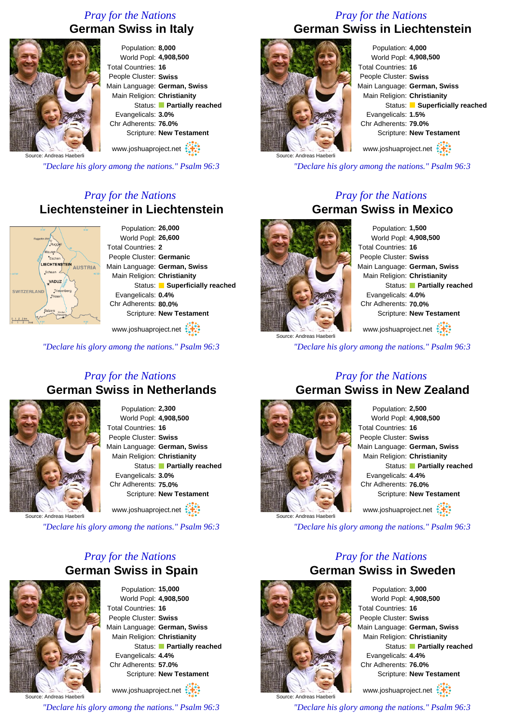## *Pray for the Nations* **German Swiss in Italy**



Population: **8,000** World Popl: **4,908,500** Total Countries: **16** People Cluster: **Swiss** Main Language: **German, Swiss** Main Religion: **Christianity** Status: **Partially reached** Evangelicals: **3.0%** Chr Adherents: **76.0%** Scripture: **New Testament** www.joshuaproject.net

*"Declare his glory among the nations." Psalm 96:3*

### *Pray for the Nations* **Liechtensteiner in Liechtenstein**



Population: **26,000** World Popl: **26,600** Total Countries: **2** People Cluster: **Germanic** Main Language: **German, Swiss** Main Religion: **Christianity** Status: **Superficially reached** Evangelicals: **0.4%** Chr Adherents: **80.0%** Scripture: **New Testament**

www.joshuaproject.net :

*"Declare his glory among the nations." Psalm 96:3*

### *Pray for the Nations* **German Swiss in Netherlands**



Population: **2,300** World Popl: **4,908,500** Total Countries: **16** People Cluster: **Swiss** Main Language: **German, Swiss** Main Religion: **Christianity** Status: **Partially reached** Evangelicals: **3.0%** Chr Adherents: **75.0%** Scripture: **New Testament**

www.joshuaproject.net

*"Declare his glory among the nations." Psalm 96:3*

### *Pray for the Nations* **German Swiss in Spain**



Population: **15,000** World Popl: **4,908,500** Total Countries: **16** People Cluster: **Swiss** Main Language: **German, Swiss** Main Religion: **Christianity** Status: **Partially reached** Evangelicals: **4.4%** Chr Adherents: **57.0%** Scripture: **New Testament**

Source: Andreas Haeberli www.joshuaproject.net

*"Declare his glory among the nations." Psalm 96:3*

### *Pray for the Nations* **German Swiss in Liechtenstein**



Population: **4,000** World Popl: **4,908,500** Total Countries: **16** People Cluster: **Swiss** Main Language: **German, Swiss** Main Religion: **Christianity** Status: **Superficially reached** Evangelicals: **1.5%** Chr Adherents: **79.0%** Scripture: **New Testament** www.joshuaproject.net

*"Declare his glory among the nations." Psalm 96:3*

### *Pray for the Nations* **German Swiss in Mexico**



Population: **1,500** World Popl: **4,908,500** Total Countries: **16** People Cluster: **Swiss** Main Language: **German, Swiss** Main Religion: **Christianity** Status: **Partially reached** Evangelicals: **4.0%** Chr Adherents: **70.0%** Scripture: **New Testament** www.joshuaproject.net

Source: Andreas Haeberli

*"Declare his glory among the nations." Psalm 96:3*

### *Pray for the Nations* **German Swiss in New Zealand**



Population: **2,500** World Popl: **4,908,500** Total Countries: **16** People Cluster: **Swiss** Main Language: **German, Swiss** Main Religion: **Christianity** Status: **Partially reached** Evangelicals: **4.4%** Chr Adherents: **76.0%** Scripture: **New Testament** www.joshuaproject.net

*"Declare his glory among the nations." Psalm 96:3*

### *Pray for the Nations* **German Swiss in Sweden**



Population: **3,000** World Popl: **4,908,500** Total Countries: **16** People Cluster: **Swiss** Main Language: **German, Swiss** Main Religion: **Christianity** Status: **Partially reached** Evangelicals: **4.4%** Chr Adherents: **76.0%** Scripture: **New Testament** www.joshuaproject.net

*"Declare his glory among the nations." Psalm 96:3*